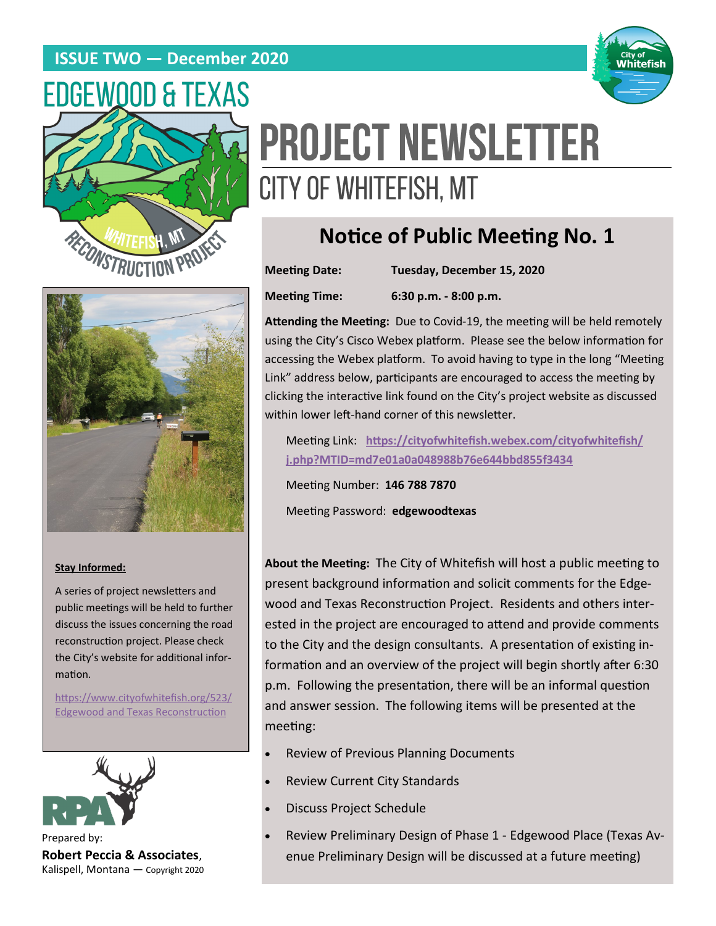### **ISSUE TWO — December 2020**





# **PROJECT NEWSLETTER** CITY OF WHITEFISH, MT

# **Notice of Public Meeting No. 1**

**Meeting Date: Tuesday, December 15, 2020 Meeting Time: 6:30 p.m. - 8:00 p.m.**



#### **Stay Informed:**

A series of project newsletters and public meetings will be held to further discuss the issues concerning the road reconstruction project. Please check the City's website for additional information.

[https://www.cityofwhitefish.org/523/](https://www.cityofwhitefish.org/523/Edgewood%20and%20Texas%20Reconstruction) [Edgewood and Texas Reconstruction](https://www.cityofwhitefish.org/523/Edgewood%20and%20Texas%20Reconstruction)



Prepared by: **Robert Peccia & Associates**, Kalispell, Montana — Copyright 2020

**Attending the Meeting:** Due to Covid-19, the meeting will be held remotely using the City's Cisco Webex platform. Please see the below information for accessing the Webex platform. To avoid having to type in the long "Meeting Link" address below, participants are encouraged to access the meeting by clicking the interactive link found on the City's project website as discussed within lower left-hand corner of this newsletter.

Meeting Link: **[https://cityofwhitefish.webex.com/cityofwhitefish/](https://cityofwhitefish.webex.com/cityofwhitefish/j.php?MTID=md7e01a0a048988b76e644bbd855f3434) [j.php?MTID=md7e01a0a048988b76e644bbd855f3434](https://cityofwhitefish.webex.com/cityofwhitefish/j.php?MTID=md7e01a0a048988b76e644bbd855f3434)**

Meeting Number: **146 788 7870**

Meeting Password: **edgewoodtexas**

**About the Meeting:** The City of Whitefish will host a public meeting to present background information and solicit comments for the Edgewood and Texas Reconstruction Project. Residents and others interested in the project are encouraged to attend and provide comments to the City and the design consultants. A presentation of existing information and an overview of the project will begin shortly after 6:30 p.m. Following the presentation, there will be an informal question and answer session. The following items will be presented at the meeting:

- Review of Previous Planning Documents
- Review Current City Standards
- Discuss Project Schedule
- Review Preliminary Design of Phase 1 Edgewood Place (Texas Avenue Preliminary Design will be discussed at a future meeting)